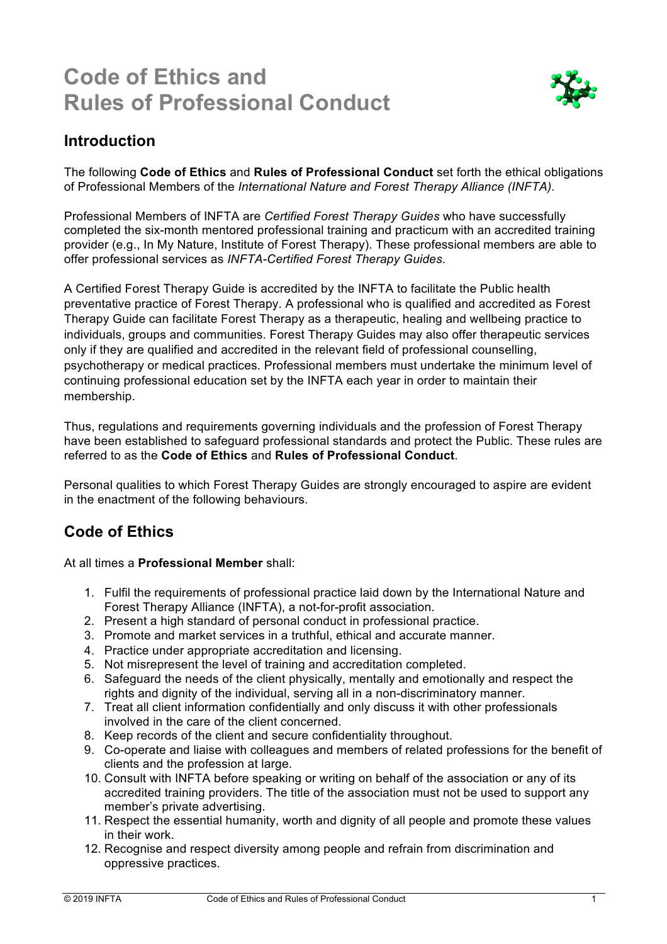# **Code of Ethics and Rules of Professional Conduct**



### **Introduction**

The following **Code of Ethics** and **Rules of Professional Conduct** set forth the ethical obligations of Professional Members of the *International Nature and Forest Therapy Alliance (INFTA)*.

Professional Members of INFTA are *Certified Forest Therapy Guides* who have successfully completed the six-month mentored professional training and practicum with an accredited training provider (e.g., In My Nature, Institute of Forest Therapy). These professional members are able to offer professional services as *INFTA-Certified Forest Therapy Guides*.

A Certified Forest Therapy Guide is accredited by the INFTA to facilitate the Public health preventative practice of Forest Therapy. A professional who is qualified and accredited as Forest Therapy Guide can facilitate Forest Therapy as a therapeutic, healing and wellbeing practice to individuals, groups and communities. Forest Therapy Guides may also offer therapeutic services only if they are qualified and accredited in the relevant field of professional counselling, psychotherapy or medical practices. Professional members must undertake the minimum level of continuing professional education set by the INFTA each year in order to maintain their membership.

Thus, regulations and requirements governing individuals and the profession of Forest Therapy have been established to safeguard professional standards and protect the Public. These rules are referred to as the **Code of Ethics** and **Rules of Professional Conduct**.

Personal qualities to which Forest Therapy Guides are strongly encouraged to aspire are evident in the enactment of the following behaviours.

# **Code of Ethics**

At all times a **Professional Member** shall:

- 1. Fulfil the requirements of professional practice laid down by the International Nature and Forest Therapy Alliance (INFTA), a not-for-profit association.
- 2. Present a high standard of personal conduct in professional practice.
- 3. Promote and market services in a truthful, ethical and accurate manner.
- 4. Practice under appropriate accreditation and licensing.
- 5. Not misrepresent the level of training and accreditation completed.
- 6. Safeguard the needs of the client physically, mentally and emotionally and respect the rights and dignity of the individual, serving all in a non-discriminatory manner.
- 7. Treat all client information confidentially and only discuss it with other professionals involved in the care of the client concerned.
- 8. Keep records of the client and secure confidentiality throughout.
- 9. Co-operate and liaise with colleagues and members of related professions for the benefit of clients and the profession at large.
- 10. Consult with INFTA before speaking or writing on behalf of the association or any of its accredited training providers. The title of the association must not be used to support any member's private advertising.
- 11. Respect the essential humanity, worth and dignity of all people and promote these values in their work.
- 12. Recognise and respect diversity among people and refrain from discrimination and oppressive practices.